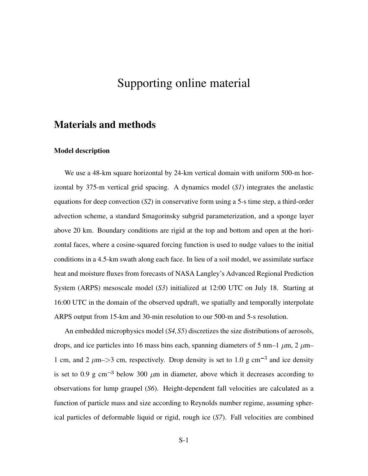# Supporting online material

### Materials and methods

#### Model description

We use a 48-km square horizontal by 24-km vertical domain with uniform 500-m horizontal by 375-m vertical grid spacing. A dynamics model (*S1*) integrates the anelastic equations for deep convection (*S2*) in conservative form using a 5-s time step, a third-order advection scheme, a standard Smagorinsky subgrid parameterization, and a sponge layer above 20 km. Boundary conditions are rigid at the top and bottom and open at the horizontal faces, where a cosine-squared forcing function is used to nudge values to the initial conditions in a 4.5-km swath along each face. In lieu of a soil model, we assimilate surface heat and moisture fluxes from forecasts of NASA Langley's Advanced Regional Prediction System (ARPS) mesoscale model (*S3*) initialized at 12:00 UTC on July 18. Starting at 16:00 UTC in the domain of the observed updraft, we spatially and temporally interpolate ARPS output from 15-km and 30-min resolution to our 500-m and 5-s resolution.

An embedded microphysics model (*S4,S5*) discretizes the size distributions of aerosols, drops, and ice particles into 16 mass bins each, spanning diameters of 5 nm–1  $\mu$ m, 2  $\mu$ m– 1 cm, and 2  $\mu$ m–>3 cm, respectively. Drop density is set to 1.0 g cm<sup>-3</sup> and ice density is set to 0.9 g cm<sup>-3</sup> below 300  $\mu$ m in diameter, above which it decreases according to observations for lump graupel (*S6*). Height-dependent fall velocities are calculated as a function of particle mass and size according to Reynolds number regime, assuming spherical particles of deformable liquid or rigid, rough ice (*S7*). Fall velocities are combined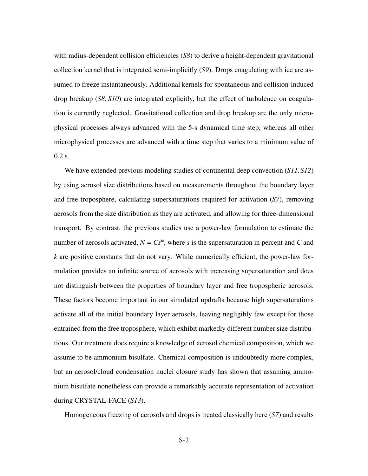with radius-dependent collision efficiencies (*S8*) to derive a height-dependent gravitational collection kernel that is integrated semi-implicitly (*S9*). Drops coagulating with ice are assumed to freeze instantaneously. Additional kernels for spontaneous and collision-induced drop breakup (*S8, S10*) are integrated explicitly, but the effect of turbulence on coagulation is currently neglected. Gravitational collection and drop breakup are the only microphysical processes always advanced with the 5-s dynamical time step, whereas all other microphysical processes are advanced with a time step that varies to a minimum value of 0.2 s.

We have extended previous modeling studies of continental deep convection (*S11,S12*) by using aerosol size distributions based on measurements throughout the boundary layer and free troposphere, calculating supersaturations required for activation (*S7*), removing aerosols from the size distribution as they are activated, and allowing for three-dimensional transport. By contrast, the previous studies use a power-law formulation to estimate the number of aerosols activated,  $N = Cs^k$ , where *s* is the supersaturation in percent and *C* and *k* are positive constants that do not vary. While numerically efficient, the power-law formulation provides an infinite source of aerosols with increasing supersaturation and does not distinguish between the properties of boundary layer and free tropospheric aerosols. These factors become important in our simulated updrafts because high supersaturations activate all of the initial boundary layer aerosols, leaving negligibly few except for those entrained from the free troposphere, which exhibit markedly different number size distributions. Our treatment does require a knowledge of aerosol chemical composition, which we assume to be ammonium bisulfate. Chemical composition is undoubtedly more complex, but an aerosol/cloud condensation nuclei closure study has shown that assuming ammonium bisulfate nonetheless can provide a remarkably accurate representation of activation during CRYSTAL-FACE (*S13*).

Homogeneous freezing of aerosols and drops is treated classically here (*S7*) and results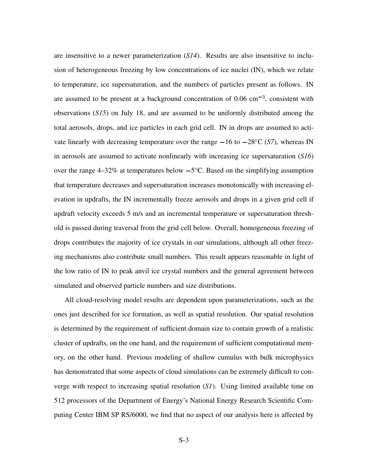are insensitive to a newer parameterization (*S14*). Results are also insensitive to inclusion of heterogeneous freezing by low concentrations of ice nuclei (IN), which we relate to temperature, ice supersaturation, and the numbers of particles present as follows. IN are assumed to be present at a background concentration of  $0.06 \text{ cm}^{-3}$ , consistent with observations (*S15*) on July 18, and are assumed to be uniformly distributed among the total aerosols, drops, and ice particles in each grid cell. IN in drops are assumed to activate linearly with decreasing temperature over the range  $-16$  to  $-28^{\circ}$ C (S7), whereas IN in aerosols are assumed to activate nonlinearly with increasing ice supersaturation (*S16*) over the range  $4-32\%$  at temperatures below  $-5^{\circ}$ C. Based on the simplifying assumption that temperature decreases and supersaturation increases monotonically with increasing elevation in updrafts, the IN incrementally freeze aerosols and drops in a given grid cell if updraft velocity exceeds 5 m/s and an incremental temperature or supersaturation threshold is passed during traversal from the grid cell below. Overall, homogeneous freezing of drops contributes the majority of ice crystals in our simulations, although all other freezing mechanisms also contribute small numbers. This result appears reasonable in light of the low ratio of IN to peak anvil ice crystal numbers and the general agreement between simulated and observed particle numbers and size distributions.

All cloud-resolving model results are dependent upon parameterizations, such as the ones just described for ice formation, as well as spatial resolution. Our spatial resolution is determined by the requirement of sufficient domain size to contain growth of a realistic cluster of updrafts, on the one hand, and the requirement of sufficient computational memory, on the other hand. Previous modeling of shallow cumulus with bulk microphysics has demonstrated that some aspects of cloud simulations can be extremely difficult to converge with respect to increasing spatial resolution (*S1*). Using limited available time on 512 processors of the Department of Energy's National Energy Research Scientific Computing Center IBM SP RS/6000, we find that no aspect of our analysis here is affected by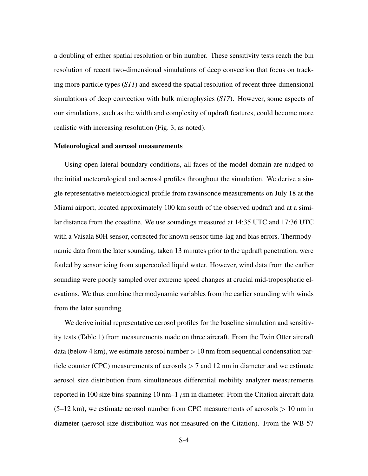a doubling of either spatial resolution or bin number. These sensitivity tests reach the bin resolution of recent two-dimensional simulations of deep convection that focus on tracking more particle types (*S11*) and exceed the spatial resolution of recent three-dimensional simulations of deep convection with bulk microphysics (*S17*). However, some aspects of our simulations, such as the width and complexity of updraft features, could become more realistic with increasing resolution (Fig. 3, as noted).

#### Meteorological and aerosol measurements

Using open lateral boundary conditions, all faces of the model domain are nudged to the initial meteorological and aerosol profiles throughout the simulation. We derive a single representative meteorological profile from rawinsonde measurements on July 18 at the Miami airport, located approximately 100 km south of the observed updraft and at a similar distance from the coastline. We use soundings measured at 14:35 UTC and 17:36 UTC with a Vaisala 80H sensor, corrected for known sensor time-lag and bias errors. Thermodynamic data from the later sounding, taken 13 minutes prior to the updraft penetration, were fouled by sensor icing from supercooled liquid water. However, wind data from the earlier sounding were poorly sampled over extreme speed changes at crucial mid-tropospheric elevations. We thus combine thermodynamic variables from the earlier sounding with winds from the later sounding.

We derive initial representative aerosol profiles for the baseline simulation and sensitivity tests (Table 1) from measurements made on three aircraft. From the Twin Otter aircraft data (below 4 km), we estimate aerosol number  $> 10$  nm from sequential condensation particle counter (CPC) measurements of aerosols  $> 7$  and 12 nm in diameter and we estimate aerosol size distribution from simultaneous differential mobility analyzer measurements reported in 100 size bins spanning 10 nm–1  $\mu$ m in diameter. From the Citation aircraft data  $(5-12 \text{ km})$ , we estimate aerosol number from CPC measurements of aerosols  $> 10 \text{ nm}$  in diameter (aerosol size distribution was not measured on the Citation). From the WB-57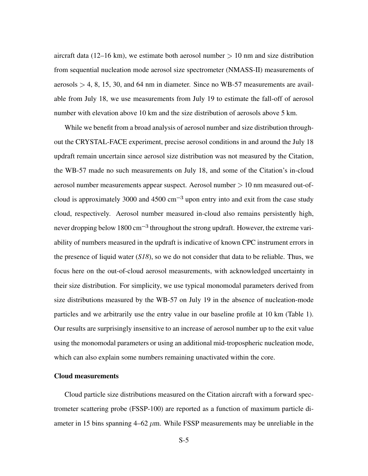aircraft data (12–16 km), we estimate both aerosol number  $> 10$  nm and size distribution from sequential nucleation mode aerosol size spectrometer (NMASS-II) measurements of  $aerosols > 4$ , 8, 15, 30, and 64 nm in diameter. Since no WB-57 measurements are available from July 18, we use measurements from July 19 to estimate the fall-off of aerosol number with elevation above 10 km and the size distribution of aerosols above 5 km.

While we benefit from a broad analysis of aerosol number and size distribution throughout the CRYSTAL-FACE experiment, precise aerosol conditions in and around the July 18 updraft remain uncertain since aerosol size distribution was not measured by the Citation, the WB-57 made no such measurements on July 18, and some of the Citation's in-cloud aerosol number measurements appear suspect. Aerosol number  $> 10$  nm measured out-ofcloud is approximately 3000 and 4500  $\text{cm}^{-3}$  upon entry into and exit from the case study cloud, respectively. Aerosol number measured in-cloud also remains persistently high, never dropping below  $1800 \text{ cm}^{-3}$  throughout the strong updraft. However, the extreme variability of numbers measured in the updraft is indicative of known CPC instrument errors in the presence of liquid water (*S18*), so we do not consider that data to be reliable. Thus, we focus here on the out-of-cloud aerosol measurements, with acknowledged uncertainty in their size distribution. For simplicity, we use typical monomodal parameters derived from size distributions measured by the WB-57 on July 19 in the absence of nucleation-mode particles and we arbitrarily use the entry value in our baseline profile at 10 km (Table 1). Our results are surprisingly insensitive to an increase of aerosol number up to the exit value using the monomodal parameters or using an additional mid-tropospheric nucleation mode, which can also explain some numbers remaining unactivated within the core.

#### Cloud measurements

Cloud particle size distributions measured on the Citation aircraft with a forward spectrometer scattering probe (FSSP-100) are reported as a function of maximum particle diameter in 15 bins spanning  $4-62 \mu m$ . While FSSP measurements may be unreliable in the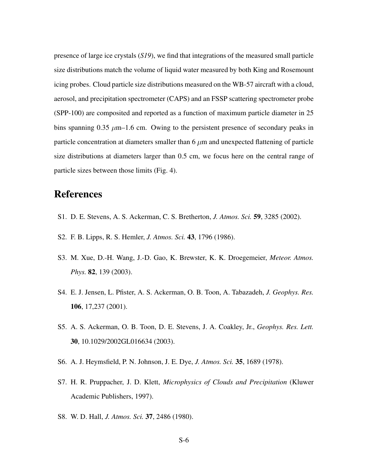presence of large ice crystals (*S19*), we find that integrations of the measured small particle size distributions match the volume of liquid water measured by both King and Rosemount icing probes. Cloud particle size distributions measured on the WB-57 aircraft with a cloud, aerosol, and precipitation spectrometer (CAPS) and an FSSP scattering spectrometer probe (SPP-100) are composited and reported as a function of maximum particle diameter in 25 bins spanning 0.35  $\mu$ m–1.6 cm. Owing to the persistent presence of secondary peaks in particle concentration at diameters smaller than  $6 \mu m$  and unexpected flattening of particle size distributions at diameters larger than 0.5 cm, we focus here on the central range of particle sizes between those limits (Fig. 4).

## References

- S1. D. E. Stevens, A. S. Ackerman, C. S. Bretherton, *J. Atmos. Sci.* 59, 3285 (2002).
- S2. F. B. Lipps, R. S. Hemler, *J. Atmos. Sci.* 43, 1796 (1986).
- S3. M. Xue, D.-H. Wang, J.-D. Gao, K. Brewster, K. K. Droegemeier, *Meteor. Atmos. Phys.* 82, 139 (2003).
- S4. E. J. Jensen, L. Pfister, A. S. Ackerman, O. B. Toon, A. Tabazadeh, *J. Geophys. Res.* 106, 17,237 (2001).
- S5. A. S. Ackerman, O. B. Toon, D. E. Stevens, J. A. Coakley, Jr., *Geophys. Res. Lett.* 30, 10.1029/2002GL016634 (2003).
- S6. A. J. Heymsfield, P. N. Johnson, J. E. Dye, *J. Atmos. Sci.* 35, 1689 (1978).
- S7. H. R. Pruppacher, J. D. Klett, *Microphysics of Clouds and Precipitation* (Kluwer Academic Publishers, 1997).
- S8. W. D. Hall, *J. Atmos. Sci.* 37, 2486 (1980).